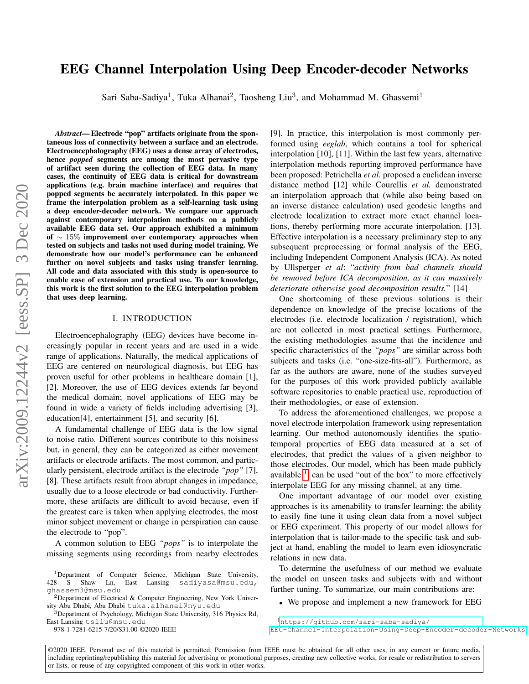# arXiv:2009.12244v2 [eess.SP] 3 Dec 2020 arXiv:2009.12244v2 [eess.SP] 3 Dec 2020

# EEG Channel Interpolation Using Deep Encoder-decoder Networks

Sari Saba-Sadiya<sup>1</sup>, Tuka Alhanai<sup>2</sup>, Taosheng Liu<sup>3</sup>, and Mohammad M. Ghassemi<sup>1</sup>

*Abstract*— Electrode "pop" artifacts originate from the spontaneous loss of connectivity between a surface and an electrode. Electroencephalography (EEG) uses a dense array of electrodes, hence *popped* segments are among the most pervasive type of artifact seen during the collection of EEG data. In many cases, the continuity of EEG data is critical for downstream applications (e.g. brain machine interface) and requires that popped segments be accurately interpolated. In this paper we frame the interpolation problem as a self-learning task using a deep encoder-decoder network. We compare our approach against contemporary interpolation methods on a publicly available EEG data set. Our approach exhibited a minimum of ∼ 15% improvement over contemporary approaches when tested on subjects and tasks not used during model training. We demonstrate how our model's performance can be enhanced further on novel subjects and tasks using transfer learning. All code and data associated with this study is open-source to enable ease of extension and practical use. To our knowledge, this work is the first solution to the EEG interpolation problem that uses deep learning.

# I. INTRODUCTION

Electroencephalography (EEG) devices have become increasingly popular in recent years and are used in a wide range of applications. Naturally, the medical applications of EEG are centered on neurological diagnosis, but EEG has proven useful for other problems in healthcare domain [1], [2]. Moreover, the use of EEG devices extends far beyond the medical domain; novel applications of EEG may be found in wide a variety of fields including advertising [3], education[4], entertainment [5], and security [6].

A fundamental challenge of EEG data is the low signal to noise ratio. Different sources contribute to this noisiness but, in general, they can be categorized as either movement artifacts or electrode artifacts. The most common, and particularly persistent, electrode artifact is the electrode *"pop"* [7], [8]. These artifacts result from abrupt changes in impedance, usually due to a loose electrode or bad conductivity. Furthermore, these artifacts are difficult to avoid because, even if the greatest care is taken when applying electrodes, the most minor subject movement or change in perspiration can cause the electrode to "pop".

A common solution to EEG *"pops"* is to interpolate the missing segments using recordings from nearby electrodes

978-1-7281-6215-7/20/\$31.00 ©2020 IEEE

[9]. In practice, this interpolation is most commonly performed using *eeglab*, which contains a tool for spherical interpolation [10], [11]. Within the last few years, alternative interpolation methods reporting improved performance have been proposed: Petrichella *et al.* proposed a euclidean inverse distance method [12] while Courellis *et al.* demonstrated an interpolation approach that (while also being based on an inverse distance calculation) used geodesic lengths and electrode localization to extract more exact channel locations, thereby performing more accurate interpolation. [13]. Effective interpolation is a necessary preliminary step to any subsequent preprocessing or formal analysis of the EEG, including Independent Component Analysis (ICA). As noted by Ullsperger *et al*: "*activity from bad channels should be removed before ICA decomposition, as it can massively deteriorate otherwise good decomposition results.*" [14]

One shortcoming of these previous solutions is their dependence on knowledge of the precise locations of the electrodes (i.e. electrode localization / registration), which are not collected in most practical settings. Furthermore, the existing methodologies assume that the incidence and specific characteristics of the *"pops"* are similar across both subjects and tasks (i.e. "one-size-fits-all"). Furthermore, as far as the authors are aware, none of the studies surveyed for the purposes of this work provided publicly available software repositories to enable practical use, reproduction of their methodologies, or ease of extension.

To address the aforementioned challenges, we propose a novel electrode interpolation framework using representation learning. Our method autonomously identifies the spatiotemporal properties of EEG data measured at a set of electrodes, that predict the values of a given neighbor to those electrodes. Our model, which has been made publicly available  $<sup>1</sup>$  $<sup>1</sup>$  $<sup>1</sup>$ , can be used "out of the box" to more effectively</sup> interpolate EEG for any missing channel, at any time.

One important advantage of our model over existing approaches is its amenability to transfer learning: the ability to easily fine tune it using clean data from a novel subject or EEG experiment. This property of our model allows for interpolation that is tailor-made to the specific task and subject at hand, enabling the model to learn even idiosyncratic relations in new data.

To determine the usefulness of our method we evaluate the model on unseen tasks and subjects with and without further tuning. To summarize, our main contributions are:

• We propose and implement a new framework for EEG

<span id="page-0-0"></span><sup>1</sup>[https://github.com/sari-saba-sadiya/](https://github.com/sari-saba-sadiya/EEG-Channel-Interpolation-Using-Deep-Encoder-decoder-Networks) [EEG-Channel-Interpolation-Using-Deep-Encoder-decoder-Networks](https://github.com/sari-saba-sadiya/EEG-Channel-Interpolation-Using-Deep-Encoder-decoder-Networks)

©2020 IEEE. Personal use of this material is permitted. Permission from IEEE must be obtained for all other uses, in any current or future media, including reprinting/republishing this material for advertising or promotional purposes, creating new collective works, for resale or redistribution to servers or lists, or reuse of any copyrighted component of this work in other works.

<sup>&</sup>lt;sup>1</sup>Department of Computer Science, Michigan State University, 428 S Shaw Ln, East Lansing sadiyasa@msu.edu, East Lansing sadiyasa@msu.edu, ghassem3@msu.edu

<sup>2</sup>Department of Electrical & Computer Engineering, New York University Abu Dhabi, Abu Dhabi tuka.alhanai@nyu.edu

<sup>&</sup>lt;sup>3</sup>Department of Psychology, Michigan State University, 316 Physics Rd, East Lansing tsliu@msu.edu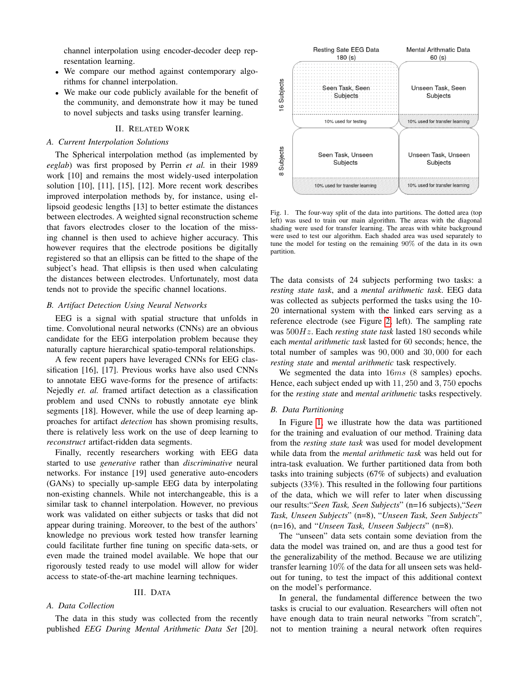channel interpolation using encoder-decoder deep representation learning.

- We compare our method against contemporary algorithms for channel interpolation.
- We make our code publicly available for the benefit of the community, and demonstrate how it may be tuned to novel subjects and tasks using transfer learning.

# II. RELATED WORK

# <span id="page-1-1"></span>*A. Current Interpolation Solutions*

The Spherical interpolation method (as implemented by *eeglab*) was first proposed by Perrin *et al.* in their 1989 work [10] and remains the most widely-used interpolation solution [10], [11], [15], [12]. More recent work describes improved interpolation methods by, for instance, using ellipsoid geodesic lengths [13] to better estimate the distances between electrodes. A weighted signal reconstruction scheme that favors electrodes closer to the location of the missing channel is then used to achieve higher accuracy. This however requires that the electrode positions be digitally registered so that an ellipsis can be fitted to the shape of the subject's head. That ellipsis is then used when calculating the distances between electrodes. Unfortunately, most data tends not to provide the specific channel locations.

# *B. Artifact Detection Using Neural Networks*

EEG is a signal with spatial structure that unfolds in time. Convolutional neural networks (CNNs) are an obvious candidate for the EEG interpolation problem because they naturally capture hierarchical spatio-temporal relationships.

A few recent papers have leveraged CNNs for EEG classification [16], [17]. Previous works have also used CNNs to annotate EEG wave-forms for the presence of artifacts: Nejedly *et. al.* framed artifact detection as a classification problem and used CNNs to robustly annotate eye blink segments [18]. However, while the use of deep learning approaches for artifact *detection* has shown promising results, there is relatively less work on the use of deep learning to *reconstruct* artifact-ridden data segments.

Finally, recently researchers working with EEG data started to use *generative* rather than *discriminative* neural networks. For instance [19] used generative auto-encoders (GANs) to specially up-sample EEG data by interpolating non-existing channels. While not interchangeable, this is a similar task to channel interpolation. However, no previous work was validated on either subjects or tasks that did not appear during training. Moreover, to the best of the authors' knowledge no previous work tested how transfer learning could facilitate further fine tuning on specific data-sets, or even made the trained model available. We hope that our rigorously tested ready to use model will allow for wider access to state-of-the-art machine learning techniques.

# III. DATA

# *A. Data Collection*

The data in this study was collected from the recently published *EEG During Mental Arithmetic Data Set* [20].



<span id="page-1-0"></span>Fig. 1. The four-way split of the data into partitions. The dotted area (top left) was used to train our main algorithm. The areas with the diagonal shading were used for transfer learning. The areas with white background were used to test our algorithm. Each shaded area was used separately to tune the model for testing on the remaining 90% of the data in its own partition.

The data consists of 24 subjects performing two tasks: a *resting state task*, and a *mental arithmetic task*. EEG data was collected as subjects performed the tasks using the 10- 20 international system with the linked ears serving as a reference electrode (see Figure [2,](#page-2-0) left). The sampling rate was 500Hz. Each *resting state task* lasted 180 seconds while each *mental arithmetic task* lasted for 60 seconds; hence, the total number of samples was 90, 000 and 30, 000 for each *resting state* and *mental arithmetic* task respectively.

We segmented the data into  $16ms$  (8 samples) epochs. Hence, each subject ended up with 11, 250 and 3, 750 epochs for the *resting state* and *mental arithmetic* tasks respectively.

# *B. Data Partitioning*

In Figure [1,](#page-1-0) we illustrate how the data was partitioned for the training and evaluation of our method. Training data from the *resting state task* was used for model development while data from the *mental arithmetic task* was held out for intra-task evaluation. We further partitioned data from both tasks into training subjects (67% of subjects) and evaluation subjects (33%). This resulted in the following four partitions of the data, which we will refer to later when discussing our results:"*Seen Task, Seen Subjects*" (n=16 subjects),"*Seen Task, Unseen Subjects*" (n=8), "*Unseen Task, Seen Subjects*" (n=16), and "*Unseen Task, Unseen Subjects*" (n=8).

The "unseen" data sets contain some deviation from the data the model was trained on, and are thus a good test for the generalizability of the method. Because we are utilizing transfer learning 10% of the data for all unseen sets was heldout for tuning, to test the impact of this additional context on the model's performance.

In general, the fundamental difference between the two tasks is crucial to our evaluation. Researchers will often not have enough data to train neural networks "from scratch", not to mention training a neural network often requires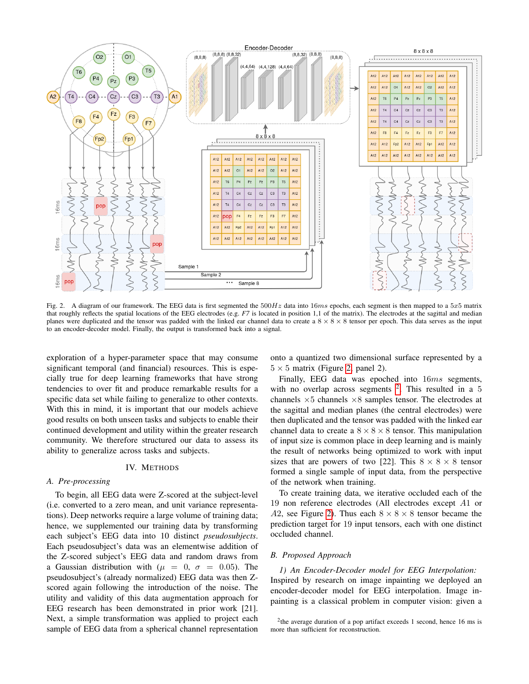

<span id="page-2-0"></span>Fig. 2. A diagram of our framework. The EEG data is first segmented the  $500Hz$  data into  $16ms$  epochs, each segment is then mapped to a  $5x5$  matrix that roughly reflects the spatial locations of the EEG electrodes (e.g. *F7* is located in position 1,1 of the matrix). The electrodes at the sagittal and median planes were duplicated and the tensor was padded with the linked ear channel data to create a  $8 \times 8 \times 8$  tensor per epoch. This data serves as the input to an encoder-decoder model. Finally, the output is transformed back into a signal.

exploration of a hyper-parameter space that may consume significant temporal (and financial) resources. This is especially true for deep learning frameworks that have strong tendencies to over fit and produce remarkable results for a specific data set while failing to generalize to other contexts. With this in mind, it is important that our models achieve good results on both unseen tasks and subjects to enable their continued development and utility within the greater research community. We therefore structured our data to assess its ability to generalize across tasks and subjects.

### IV. METHODS

# *A. Pre-processing*

To begin, all EEG data were Z-scored at the subject-level (i.e. converted to a zero mean, and unit variance representations). Deep networks require a large volume of training data; hence, we supplemented our training data by transforming each subject's EEG data into 10 distinct *pseudosubjects*. Each pseudosubject's data was an elementwise addition of the Z-scored subject's EEG data and random draws from a Gaussian distribution with ( $\mu = 0$ ,  $\sigma = 0.05$ ). The pseudosubject's (already normalized) EEG data was then Zscored again following the introduction of the noise. The utility and validity of this data augmentation approach for EEG research has been demonstrated in prior work [21]. Next, a simple transformation was applied to project each sample of EEG data from a spherical channel representation onto a quantized two dimensional surface represented by a  $5 \times 5$  matrix (Figure [2,](#page-2-0) panel 2).

Finally, EEG data was epoched into 16ms segments, with no overlap across segments  $2$ . This resulted in a 5 channels ×5 channels ×8 samples tensor. The electrodes at the sagittal and median planes (the central electrodes) were then duplicated and the tensor was padded with the linked ear channel data to create a  $8 \times 8 \times 8$  tensor. This manipulation of input size is common place in deep learning and is mainly the result of networks being optimized to work with input sizes that are powers of two [22]. This  $8 \times 8 \times 8$  tensor formed a single sample of input data, from the perspective of the network when training.

To create training data, we iterative occluded each of the 19 non reference electrodes (All electrodes except A1 or A2, see Figure [2\)](#page-2-0). Thus each  $8 \times 8 \times 8$  tensor became the prediction target for 19 input tensors, each with one distinct occluded channel.

# *B. Proposed Approach*

*1) An Encoder-Decoder model for EEG Interpolation:* Inspired by research on image inpainting we deployed an encoder-decoder model for EEG interpolation. Image inpainting is a classical problem in computer vision: given a

<span id="page-2-1"></span><sup>&</sup>lt;sup>2</sup>the average duration of a pop artifact exceeds 1 second, hence 16 ms is more than sufficient for reconstruction.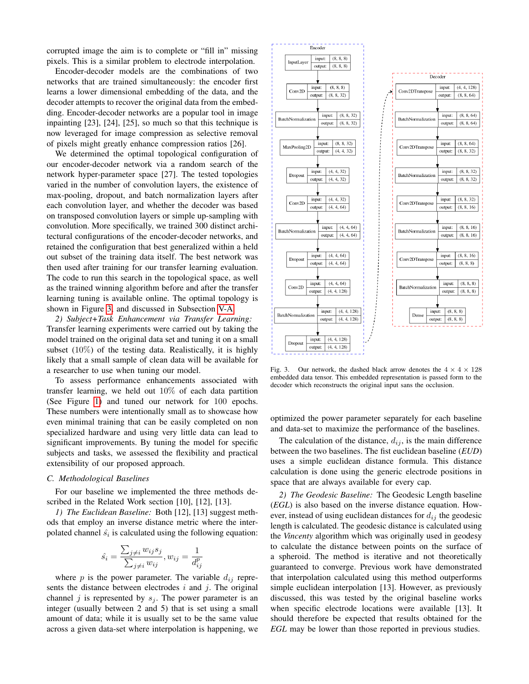corrupted image the aim is to complete or "fill in" missing pixels. This is a similar problem to electrode interpolation.

Encoder-decoder models are the combinations of two networks that are trained simultaneously: the encoder first learns a lower dimensional embedding of the data, and the decoder attempts to recover the original data from the embedding. Encoder-decoder networks are a popular tool in image inpainting [23], [24], [25], so much so that this technique is now leveraged for image compression as selective removal of pixels might greatly enhance compression ratios [26].

We determined the optimal topological configuration of our encoder-decoder network via a random search of the network hyper-parameter space [27]. The tested topologies varied in the number of convolution layers, the existence of max-pooling, dropout, and batch normalization layers after each convolution layer, and whether the decoder was based on transposed convolution layers or simple up-sampling with convolution. More specifically, we trained 300 distinct architectural configurations of the encoder-decoder networks, and retained the configuration that best generalized within a held out subset of the training data itself. The best network was then used after training for our transfer learning evaluation. The code to run this search in the topological space, as well as the trained winning algorithm before and after the transfer learning tuning is available online. The optimal topology is shown in Figure [3,](#page-3-0) and discussed in Subsection [V-A.](#page-4-0)

*2) Subject+Task Enhancement via Transfer Learning:* Transfer learning experiments were carried out by taking the model trained on the original data set and tuning it on a small subset  $(10\%)$  of the testing data. Realistically, it is highly likely that a small sample of clean data will be available for a researcher to use when tuning our model.

To assess performance enhancements associated with transfer learning, we held out 10% of each data partition (See Figure [1\)](#page-1-0) and tuned our network for 100 epochs. These numbers were intentionally small as to showcase how even minimal training that can be easily completed on non specialized hardware and using very little data can lead to significant improvements. By tuning the model for specific subjects and tasks, we assessed the flexibility and practical extensibility of our proposed approach.

# <span id="page-3-1"></span>*C. Methodological Baselines*

For our baseline we implemented the three methods described in the Related Work section [10], [12], [13].

*1) The Euclidean Baseline:* Both [12], [13] suggest methods that employ an inverse distance metric where the interpolated channel  $\hat{s_i}$  is calculated using the following equation:

$$
\hat{s_i} = \frac{\sum_{j \neq i} w_{ij} s_j}{\sum_{j \neq i} w_{ij}}, w_{ij} = \frac{1}{d_{ij}^p}
$$

where  $p$  is the power parameter. The variable  $d_{ij}$  represents the distance between electrodes  $i$  and  $j$ . The original channel j is represented by  $s_j$ . The power parameter is an integer (usually between 2 and 5) that is set using a small amount of data; while it is usually set to be the same value across a given data-set where interpolation is happening, we



<span id="page-3-0"></span>Fig. 3. Our network, the dashed black arrow denotes the  $4 \times 4 \times 128$ embedded data tensor. This embedded representation is passed form to the decoder which reconstructs the original input sans the occlusion.

optimized the power parameter separately for each baseline and data-set to maximize the performance of the baselines.

The calculation of the distance,  $d_{ij}$ , is the main difference between the two baselines. The fist euclidean baseline (*EUD*) uses a simple euclidean distance formula. This distance calculation is done using the generic electrode positions in space that are always available for every cap.

*2) The Geodesic Baseline:* The Geodesic Length baseline (*EGL*) is also based on the inverse distance equation. However, instead of using euclidean distances for  $d_{ij}$  the geodesic length is calculated. The geodesic distance is calculated using the *Vincenty* algorithm which was originally used in geodesy to calculate the distance between points on the surface of a spheroid. The method is iterative and not theoretically guaranteed to converge. Previous work have demonstrated that interpolation calculated using this method outperforms simple euclidean interpolation [13]. However, as previously discussed, this was tested by the original baseline works when specific electrode locations were available [13]. It should therefore be expected that results obtained for the *EGL* may be lower than those reported in previous studies.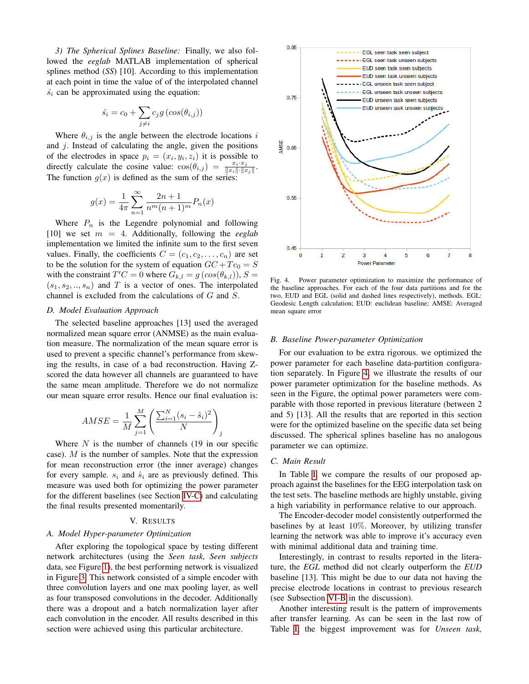*3) The Spherical Splines Baseline:* Finally, we also followed the *eeglab* MATLAB implementation of spherical splines method (*SS*) [10]. According to this implementation at each point in time the value of of the interpolated channel  $\hat{s_i}$  can be approximated using the equation:

$$
\hat{s_i} = c_0 + \sum_{j \neq i} c_j g \left( \cos(\theta_{i,j}) \right)
$$

Where  $\theta_{i,j}$  is the angle between the electrode locations i and j. Instead of calculating the angle, given the positions of the electrodes in space  $p_i = (x_i, y_i, z_i)$  it is possible to directly calculate the cosine value:  $\cos(\theta_{i,j}) = \frac{x_i \cdot x_j}{\|x_i\| \cdot \|x_j\|}$ . The function  $q(x)$  is defined as the sum of the series:

$$
g(x) = \frac{1}{4\pi} \sum_{n=1}^{\infty} \frac{2n+1}{n^m (n+1)^m} P_n(x)
$$

Where  $P_n$  is the Legendre polynomial and following  $[10]$  we set  $m = 4$ . Additionally, following the *eeglab* implementation we limited the infinite sum to the first seven values. Finally, the coefficients  $C = (c_1, c_2, \ldots, c_n)$  are set to be the solution for the system of equation  $GC + T c_0 = S$ with the constraint  $T'C = 0$  where  $G_{k,l} = g(\cos(\theta_{k,l}))$ ,  $S =$  $(s_1, s_2, ..., s_n)$  and T is a vector of ones. The interpolated channel is excluded from the calculations of G and S.

### *D. Model Evaluation Approach*

The selected baseline approaches [13] used the averaged normalized mean square error (ANMSE) as the main evaluation measure. The normalization of the mean square error is used to prevent a specific channel's performance from skewing the results, in case of a bad reconstruction. Having Zscored the data however all channels are guaranteed to have the same mean amplitude. Therefore we do not normalize our mean square error results. Hence our final evaluation is:

$$
AMSE = \frac{1}{M} \sum_{j=1}^{M} \left( \frac{\sum_{i=1}^{N} (s_i - \hat{s}_i)^2}{N} \right)_j
$$

Where  $N$  is the number of channels (19 in our specific case).  $M$  is the number of samples. Note that the expression for mean reconstruction error (the inner average) changes for every sample.  $s_i$  and  $\hat{s}_i$  are as previously defined. This measure was used both for optimizing the power parameter for the different baselines (see Section [IV-C\)](#page-3-1) and calculating the final results presented momentarily.

### V. RESULTS

# <span id="page-4-0"></span>*A. Model Hyper-parameter Optimization*

After exploring the topological space by testing different network architectures (using the *Seen task, Seen subjects* data, see Figure [1\)](#page-1-0), the best performing network is visualized in Figure [3.](#page-3-0) This network consisted of a simple encoder with three convolution layers and one max pooling layer, as well as four transposed convolutions in the decoder. Additionally there was a dropout and a batch normalization layer after each convolution in the encoder. All results described in this section were achieved using this particular architecture.



<span id="page-4-1"></span>Fig. 4. Power parameter optimization to maximize the performance of the baseline approaches. For each of the four data partitions and for the two, EUD and EGL (solid and dashed lines respectively), methods. EGL: Geodesic Length calculation; EUD: euclidean baseline; AMSE: Averaged mean square error

### *B. Baseline Power-parameter Optimization*

For our evaluation to be extra rigorous. we optimized the power parameter for each baseline data-partition configuration separately. In Figure [4,](#page-4-1) we illustrate the results of our power parameter optimization for the baseline methods. As seen in the Figure, the optimal power parameters were comparable with those reported in previous literature (between 2 and 5) [13]. All the results that are reported in this section were for the optimized baseline on the specific data set being discussed. The spherical splines baseline has no analogous parameter we can optimize.

# *C. Main Result*

In Table [I,](#page-5-0) we compare the results of our proposed approach against the baselines for the EEG interpolation task on the test sets. The baseline methods are highly unstable, giving a high variability in performance relative to our approach.

The Encoder-decoder model consistently outperformed the baselines by at least 10%. Moreover, by utilizing transfer learning the network was able to improve it's accuracy even with minimal additional data and training time.

Interestingly, in contrast to results reported in the literature, the *EGL* method did not clearly outperform the *EUD* baseline [13]. This might be due to our data not having the precise electrode locations in contrast to previous research (see Subsection [VI-B](#page-6-0) in the discussion).

Another interesting result is the pattern of improvements after transfer learning. As can be seen in the last row of Table [I,](#page-5-0) the biggest improvement was for *Unseen task,*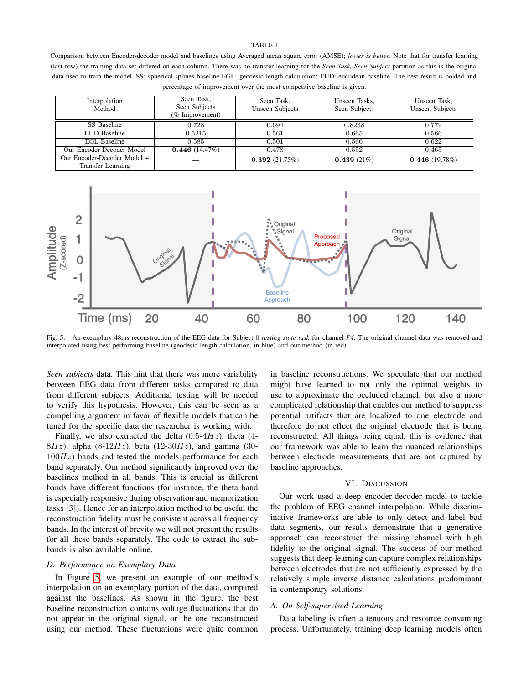### TABLE I

<span id="page-5-0"></span>Comparison between Encoder-decoder model and baselines using Averaged mean square error (AMSE); *lower is better*. Note that for transfer learning (last row) the training data set differed on each column. There was no transfer learning for the *Seen Task, Seen Subject* partition as this is the original data used to train the model. SS: spherical splines baseline EGL: geodesic length calculation; EUD: euclidean baseline. The best result is bolded and percentage of improvement over the most competitive baseline is given.

| Interpolation<br>Method                          | Seen Task,<br>Seen Subjects<br>(% Improvement) | Seen Task,<br><b>Unseen Subjects</b> | Unseen Tasks.<br>Seen Subjects | Unseen Task,<br><b>Unseen Subjects</b> |
|--------------------------------------------------|------------------------------------------------|--------------------------------------|--------------------------------|----------------------------------------|
| SS Baseline                                      | 0.728                                          | 0.694                                | 0.8238                         | 0.779                                  |
| <b>EUD Baseline</b>                              | 0.5215                                         | 0.561                                | 0.665                          | 0.566                                  |
| EGL Baseline                                     | 0.585                                          | 0.501                                | 0.566                          | 0.622                                  |
| Our Encoder-Decoder Model                        | 0.446(14.47%)                                  | 0.478                                | 0.552                          | 0.465                                  |
| Our Encoder-Decoder Model +<br>Transfer Learning |                                                | 0.392(21.75%)                        | 0.439(21%)                     | 0.446(19.78%)                          |



<span id="page-5-1"></span>Fig. 5. An exemplary 48ms reconstruction of the EEG data for Subject 0 *resting state task* for channel *P4*. The original channel data was removed and interpolated using best performing baseline (geodesic length calculation, in blue) and our method (in red).

*Seen subjects* data. This hint that there was more variability between EEG data from different tasks compared to data from different subjects. Additional testing will be needed to verify this hypothesis. However, this can be seen as a compelling argument in favor of flexible models that can be tuned for the specific data the researcher is working with.

Finally, we also extracted the delta  $(0.5-4Hz)$ , theta  $(4 8Hz$ ), alpha (8-12Hz), beta (12-30Hz), and gamma (30- $100Hz$ ) bands and tested the models performance for each band separately. Our method significantly improved over the baselines method in all bands. This is crucial as different bands have different functions (for instance, the theta band is especially responsive during observation and memorization tasks [3]). Hence for an interpolation method to be useful the reconstruction fidelity must be consistent across all frequency bands. In the interest of brevity we will not present the results for all these bands separately. The code to extract the subbands is also available online.

# *D. Performance on Exemplary Data*

In Figure [5,](#page-5-1) we present an example of our method's interpolation on an exemplary portion of the data, compared against the baselines. As shown in the figure, the best baseline reconstruction contains voltage fluctuations that do not appear in the original signal, or the one reconstructed using our method. These fluctuations were quite common

in baseline reconstructions. We speculate that our method might have learned to not only the optimal weights to use to approximate the occluded channel, but also a more complicated relationship that enables our method to suppress potential artifacts that are localized to one electrode and therefore do not effect the original electrode that is being reconstructed. All things being equal, this is evidence that our framework was able to learn the nuanced relationships between electrode measurements that are not captured by baseline approaches.

# VI. DISCUSSION

Our work used a deep encoder-decoder model to tackle the problem of EEG channel interpolation. While discriminative frameworks are able to only detect and label bad data segments, our results demonstrate that a generative approach can reconstruct the missing channel with high fidelity to the original signal. The success of our method suggests that deep learning can capture complex relationships between electrodes that are not sufficiently expressed by the relatively simple inverse distance calculations predominant in contemporary solutions.

### *A. On Self-supervised Learning*

Data labeling is often a tenuous and resource consuming process. Unfortunately, training deep learning models often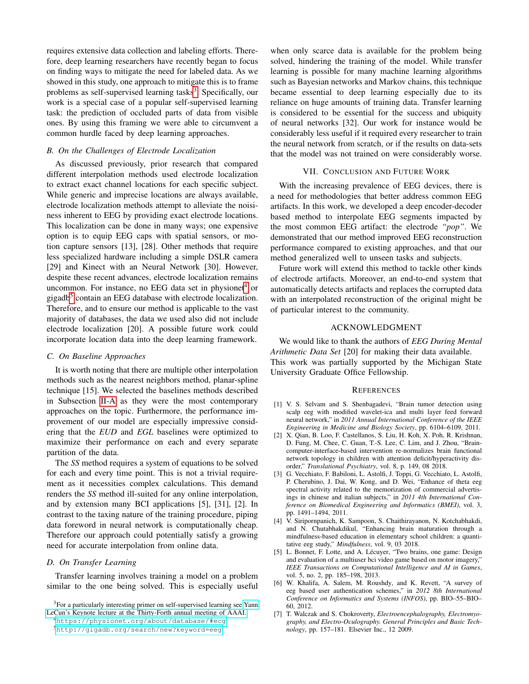requires extensive data collection and labeling efforts. Therefore, deep learning researchers have recently began to focus on finding ways to mitigate the need for labeled data. As we showed in this study, one approach to mitigate this is to frame problems as self-supervised learning tasks<sup>[3](#page-6-1)</sup>. Specifically, our work is a special case of a popular self-supervised learning task: the prediction of occluded parts of data from visible ones. By using this framing we were able to circumvent a common hurdle faced by deep learning approaches.

# <span id="page-6-0"></span>*B. On the Challenges of Electrode Localization*

As discussed previously, prior research that compared different interpolation methods used electrode localization to extract exact channel locations for each specific subject. While generic and imprecise locations are always available, electrode localization methods attempt to alleviate the noisiness inherent to EEG by providing exact electrode locations. This localization can be done in many ways; one expensive option is to equip EEG caps with spatial sensors, or motion capture sensors [13], [28]. Other methods that require less specialized hardware including a simple DSLR camera [29] and Kinect with an Neural Network [30]. However, despite these recent advances, electrode localization remains uncommon. For instance, no EEG data set in physionet<sup>[4](#page-6-2)</sup> or gigadb<sup>[5](#page-6-3)</sup> contain an EEG database with electrode localization. Therefore, and to ensure our method is applicable to the vast majority of databases, the data we used also did not include electrode localization [20]. A possible future work could incorporate location data into the deep learning framework.

# *C. On Baseline Approaches*

It is worth noting that there are multiple other interpolation methods such as the nearest neighbors method, planar-spline technique [15]. We selected the baselines methods described in Subsection [II-A](#page-1-1) as they were the most contemporary approaches on the topic. Furthermore, the performance improvement of our model are especially impressive considering that the *EUD* and *EGL* baselines were optimized to maximize their performance on each and every separate partition of the data.

The *SS* method requires a system of equations to be solved for each and every time point. This is not a trivial requirement as it necessities complex calculations. This demand renders the *SS* method ill-suited for any online interpolation, and by extension many BCI applications [5], [31], [2]. In contrast to the taxing nature of the training procedure, piping data foreword in neural network is computationally cheap. Therefore our approach could potentially satisfy a growing need for accurate interpolation from online data.

### *D. On Transfer Learning*

Transfer learning involves training a model on a problem similar to the one being solved. This is especially useful

<span id="page-6-1"></span><sup>3</sup>For a particularly interesting primer on self-supervised learning see [Yann](https://drive.google.com/file/d/1r-mDL4IX_hzZLDBKp8_e8VZqD7fOzBkF/view) [LeCun's Keynote lecture at the Thirty-Forth annual meeting of AAAI.](https://drive.google.com/file/d/1r-mDL4IX_hzZLDBKp8_e8VZqD7fOzBkF/view)

when only scarce data is available for the problem being solved, hindering the training of the model. While transfer learning is possible for many machine learning algorithms such as Bayesian networks and Markov chains, this technique became essential to deep learning especially due to its reliance on huge amounts of training data. Transfer learning is considered to be essential for the success and ubiquity of neural networks [32]. Our work for instance would be considerably less useful if it required every researcher to train the neural network from scratch, or if the results on data-sets that the model was not trained on were considerably worse.

# VII. CONCLUSION AND FUTURE WORK

With the increasing prevalence of EEG devices, there is a need for methodologies that better address common EEG artifacts. In this work, we developed a deep encoder-decoder based method to interpolate EEG segments impacted by the most common EEG artifact: the electrode *"pop"*. We demonstrated that our method improved EEG reconstruction performance compared to existing approaches, and that our method generalized well to unseen tasks and subjects.

Future work will extend this method to tackle other kinds of electrode artifacts. Moreover, an end-to-end system that automatically detects artifacts and replaces the corrupted data with an interpolated reconstruction of the original might be of particular interest to the community.

# ACKNOWLEDGMENT

We would like to thank the authors of *EEG During Mental Arithmetic Data Set* [20] for making their data available. This work was partially supported by the Michigan State University Graduate Office Fellowship.

## **REFERENCES**

- [1] V. S. Selvam and S. Shenbagadevi, "Brain tumor detection using scalp eeg with modified wavelet-ica and multi layer feed forward neural network," in *2011 Annual International Conference of the IEEE Engineering in Medicine and Biology Society*, pp. 6104–6109, 2011.
- [2] X. Qian, B. Loo, F. Castellanos, S. Liu, H. Koh, X. Poh, R. Krishnan, D. Fung, M. Chee, C. Guan, T.-S. Lee, C. Lim, and J. Zhou, "Braincomputer-interface-based intervention re-normalizes brain functional network topology in children with attention deficit/hyperactivity disorder," *Translational Psychiatry*, vol. 8, p. 149, 08 2018.
- [3] G. Vecchiato, F. Babiloni, L. Astolfi, J. Toppi, G. Vecchiato, L. Astolfi, P. Cherubino, J. Dai, W. Kong, and D. Wei, "Enhance of theta eeg spectral activity related to the memorization of commercial advertisings in chinese and italian subjects," in *2011 4th International Conference on Biomedical Engineering and Informatics (BMEI)*, vol. 3, pp. 1491–1494, 2011.
- [4] V. Siripornpanich, K. Sampoon, S. Chaithirayanon, N. Kotchabhakdi, and N. Chutabhakdikul, "Enhancing brain maturation through a mindfulness-based education in elementary school children: a quantitative eeg study," *Mindfulness*, vol. 9, 03 2018.
- [5] L. Bonnet, F. Lotte, and A. Lécuyer, "Two brains, one game: Design and evaluation of a multiuser bci video game based on motor imagery, *IEEE Transactions on Computational Intelligence and AI in Games*, vol. 5, no. 2, pp. 185–198, 2013.
- [6] W. Khalifa, A. Salem, M. Roushdy, and K. Revett, "A survey of eeg based user authentication schemes," in *2012 8th International Conference on Informatics and Systems (INFOS)*, pp. BIO–55–BIO– 60, 2012.
- [7] T. Walczak and S. Chokroverty, *Electroencephalography, Electromyography, and Electro-Oculography. General Principles and Basic Technology*, pp. 157–181. Elsevier Inc., 12 2009.

<span id="page-6-3"></span><span id="page-6-2"></span><sup>4</sup><https://physionet.org/about/database/#ecg> <sup>5</sup><http://gigadb.org/search/new?keyword=eeg>